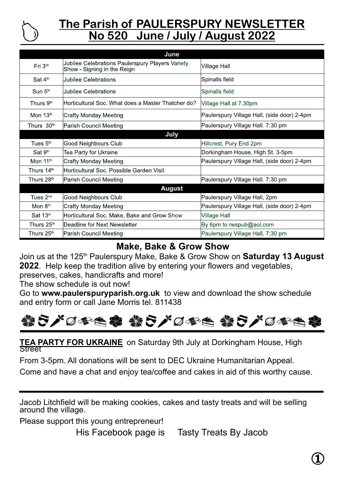

# **The Parish of PAULERSPURY NEWSLETTER No 520 June / July / August 2022**

| June                  |                                                                                 |                                             |
|-----------------------|---------------------------------------------------------------------------------|---------------------------------------------|
| Fri 3 <sup>rd</sup>   | Jubilee Celebrations Paulerspury Players Variety<br>Show - Signing in the Reign | <b>Village Hall</b>                         |
| Sat $4th$             | Uubilee Celebrations                                                            | Spinalls field                              |
| Sun 5 <sup>th</sup>   | Uubilee Celebrations                                                            | Spinalls field                              |
| Thurs 9 <sup>th</sup> | Horticultural Soc. What does a Master Thatcher do?                              | Village Hall at 7.30pm                      |
| Mon $13th$            | Crafty Monday Meeting                                                           | Paulerspury Village Hall, (side door) 2-4pm |
| Thurs $30th$          | Parish Council Meeting                                                          | Paulerspury Village Hall. 7:30 pm           |
| July                  |                                                                                 |                                             |
| Tues $5th$            | Good Neighbours Club                                                            | Hillcrest, Pury End 2pm                     |
| Sat 9 <sup>th</sup>   | Tea Party for Ukraine                                                           | Dorkingham House, High St. 3-5pm            |
| Mon 11th              | Crafty Monday Meeting                                                           | Paulerspury Village Hall, (side door) 2-4pm |
| Thurs 14th            | lHorticultural Soc. Possible Garden Visit                                       |                                             |
| Thurs 28th            | Parish Council Meeting                                                          | Paulerspury Village Hall. 7:30 pm           |
| <b>August</b>         |                                                                                 |                                             |
| Tues $2nd$            | Good Neighbours Club                                                            | Paulerspury Village Hall, 2pm               |
| Mon $8th$             | Crafty Monday Meeting                                                           | Paulerspury Village Hall, (side door) 2-4pm |
| Sat 13th              | Horticultural Soc. Make, Bake and Grow Show                                     | <b>Village Hall</b>                         |
| Thurs 25th            | lDeadline for Next Newsletter                                                   | By 6pm to rwspub@aol.com                    |
| Thurs 25th            | Parish Council Meeting                                                          | Paulerspury Village Hall. 7:30 pm           |

## **Make, Bake & Grow Show**

Join us at the 125<sup>th</sup> Paulerspury Make, Bake & Grow Show on **Saturday 13 August 2022**. Help keep the tradition alive by entering your flowers and vegetables, preserves, cakes, handicrafts and more!

The show schedule is out now!

Go to **www.paulerspuryparish.org.uk** to view and download the show schedule and entry form or call Jane Morris tel. 811438



**TEA PARTY FOR UKRAINE** on Saturday 9th July at Dorkingham House, High Street

From 3-5pm. All donations will be sent to DEC Ukraine Humanitarian Appeal.

Come and have a chat and enjoy tea/coffee and cakes in aid of this worthy cause.

Jacob Litchfield will be making cookies, cakes and tasty treats and will be selling around the village.

Please support this young entrepreneur!

His Facebook page is Tasty Treats By Jacob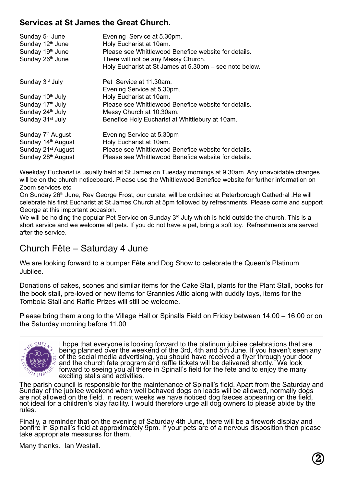#### **Services at St James the Great Church.**

| Sunday $5th$ June<br>Sunday 12 <sup>th</sup> June<br>Sunday 19th June<br>Sunday 26th June | Evening Service at 5.30pm.<br>Holy Eucharist at 10am.<br>Please see Whittlewood Benefice website for details.<br>There will not be any Messy Church.<br>Holy Eucharist at St James at 5.30pm - see note below. |
|-------------------------------------------------------------------------------------------|----------------------------------------------------------------------------------------------------------------------------------------------------------------------------------------------------------------|
| Sunday 3rd July                                                                           | Pet Service at 11.30am.<br>Evening Service at 5.30pm.                                                                                                                                                          |
| Sunday 10 <sup>th</sup> July                                                              | Holy Eucharist at 10am.                                                                                                                                                                                        |
| Sunday 17 <sup>th</sup> July                                                              | Please see Whittlewood Benefice website for details.                                                                                                                                                           |
| Sunday 24th July                                                                          | Messy Church at 10.30am.                                                                                                                                                                                       |
| Sunday 31 <sup>st</sup> July                                                              | Benefice Holy Eucharist at Whittlebury at 10am.                                                                                                                                                                |
| Sunday 7 <sup>th</sup> August                                                             | Evening Service at 5.30pm                                                                                                                                                                                      |
| Sunday 14 <sup>th</sup> August                                                            | Holy Eucharist at 10am.                                                                                                                                                                                        |
| Sunday 21 <sup>st</sup> August                                                            | Please see Whittlewood Benefice website for details.                                                                                                                                                           |
| Sunday 28 <sup>th</sup> August                                                            | Please see Whittlewood Benefice website for details.                                                                                                                                                           |

Weekday Eucharist is usually held at St James on Tuesday mornings at 9.30am. Any unavoidable changes will be on the church noticeboard. Please use the Whittlewood Benefice website for further information on Zoom services etc

On Sunday 26<sup>th</sup> June, Rey George Frost, our curate, will be ordained at Peterborough Cathedral .He will celebrate his first Eucharist at St James Church at 5pm followed by refreshments. Please come and support George at this important occasion.

We will be holding the popular Pet Service on Sunday 3<sup>rd</sup> July which is held outside the church. This is a short service and we welcome all pets. If you do not have a pet, bring a soft toy. Refreshments are served after the service.

## Church Fête – Saturday 4 June

We are looking forward to a bumper Fête and Dog Show to celebrate the Queen's Platinum Jubilee.

Donations of cakes, scones and similar items for the Cake Stall, plants for the Plant Stall, books for the book stall, pre-loved or new items for Grannies Attic along with cuddly toys, items for the Tombola Stall and Raffle Prizes will still be welcome.

Please bring them along to the Village Hall or Spinalls Field on Friday between 14.00 – 16.00 or on the Saturday morning before 11.00



I hope that everyone is looking forward to the platinum jubilee celebrations that are being planned over the weekend of the 3rd, 4th and 5th June. If you haven't seen any of the social media advertising, you should have received a flyer through your door and the church fete program and raffle tickets will be delivered shortly. We look forward to seeing you all there in Spinall's field for the fete and to enjoy the many exciting stalls and activities.

The parish council is responsible for the maintenance of Spinall's field. Apart from the Saturday and Sunday of the jubilee weekend when well behaved dogs on leads will be allowed, normally dogs are not allowed on the field. In recent weeks we have noticed dog faeces appearing on the field, not ideal for a children's play facility. I would therefore urge all dog owners to please abide by the rules.

Finally, a reminder that on the evening of Saturday 4th June, there will be a firework display and bonfire in Spinall's field at approximately 9pm. If your pets are of a nervous disposition then please take appropriate measures for them.

Many thanks. Ian Westall.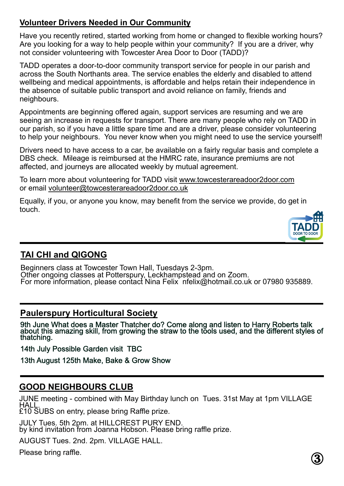### **Volunteer Drivers Needed in Our Community**

Have you recently retired, started working from home or changed to flexible working hours? Are you looking for a way to help people within your community? If you are a driver, why not consider volunteering with Towcester Area Door to Door (TADD)?

TADD operates a door-to-door community transport service for people in our parish and across the South Northants area. The service enables the elderly and disabled to attend wellbeing and medical appointments, is affordable and helps retain their independence in the absence of suitable public transport and avoid reliance on family, friends and neighbours.

Appointments are beginning offered again, support services are resuming and we are seeing an increase in requests for transport. There are many people who rely on TADD in our parish, so if you have a little spare time and are a driver, please consider volunteering to help your neighbours. You never know when you might need to use the service yourself!

Drivers need to have access to a car, be available on a fairly regular basis and complete a DBS check. Mileage is reimbursed at the HMRC rate, insurance premiums are not affected, and journeys are allocated weekly by mutual agreement.

To learn more about volunteering for TADD visit www.towcesterareadoor2door.com or email volunteer@towcesterareadoor2door.co.uk

Equally, if you, or anyone you know, may benefit from the service we provide, do get in touch.



# **TAI CHI and QIGONG**

Beginners class at Towcester Town Hall, Tuesdays 2-3pm. Other ongoing classes at Potterspury, Leckhampstead and on Zoom. For more information, please contact Nina Felix nfelix@hotmail.co.uk or 07980 935889.

#### **Paulerspury Horticultural Society**

9th June What does a Master Thatcher do? Come along and listen to Harry Roberts talk about this amazing skill, from growing the straw to the tools used, and the different styles of thatching.

14th July Possible Garden visit TBC

13th August 125th Make, Bake & Grow Show

### **GOOD NEIGHBOURS CLUB**

JUNE meeting - combined with May Birthday lunch on Tues. 31st May at 1pm VILLAGE **HALL** 

£10 SUBS on entry, please bring Raffle prize.

JULY Tues. 5th 2pm. at HILLCREST PURY END. by kind invitation from Joanna Hobson. Please bring raffle prize.

AUGUST Tues. 2nd. 2pm. VILLAGE HALL.

Please bring raffle.